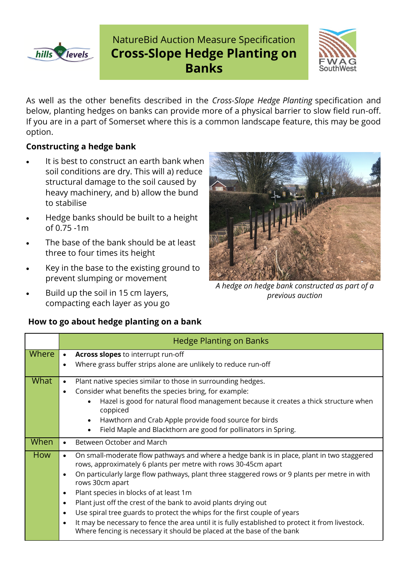

# NatureBid Auction Measure Specification **Cross-Slope Hedge Planting on Banks**



As well as the other benefits described in the *Cross-Slope Hedge Planting* specification and below, planting hedges on banks can provide more of a physical barrier to slow field run-off. If you are in a part of Somerset where this is a common landscape feature, this may be good option.

#### **Constructing a hedge bank**

- It is best to construct an earth bank when soil conditions are dry. This will a) reduce structural damage to the soil caused by heavy machinery, and b) allow the bund to stabilise
- Hedge banks should be built to a height of 0.75 -1m
- The base of the bank should be at least three to four times its height
- Key in the base to the existing ground to prevent slumping or movement
- Build up the soil in 15 cm layers, compacting each layer as you go

*A hedge on hedge bank constructed as part of a previous auction*

|            | <b>Hedge Planting on Banks</b>                                                                                                                                                           |
|------------|------------------------------------------------------------------------------------------------------------------------------------------------------------------------------------------|
| Where      | Across slopes to interrupt run-off<br>$\bullet$                                                                                                                                          |
|            | Where grass buffer strips alone are unlikely to reduce run-off<br>$\bullet$                                                                                                              |
| What       | Plant native species similar to those in surrounding hedges.<br>$\bullet$                                                                                                                |
|            | Consider what benefits the species bring, for example:<br>$\bullet$                                                                                                                      |
|            | Hazel is good for natural flood management because it creates a thick structure when<br>$\bullet$<br>coppiced                                                                            |
|            | Hawthorn and Crab Apple provide food source for birds<br>$\bullet$                                                                                                                       |
|            | Field Maple and Blackthorn are good for pollinators in Spring.                                                                                                                           |
| When       | Between October and March<br>$\bullet$                                                                                                                                                   |
| <b>How</b> | On small-moderate flow pathways and where a hedge bank is in place, plant in two staggered<br>$\bullet$<br>rows, approximately 6 plants per metre with rows 30-45cm apart                |
|            | On particularly large flow pathways, plant three staggered rows or 9 plants per metre in with<br>$\bullet$<br>rows 30cm apart                                                            |
|            | Plant species in blocks of at least 1m<br>$\bullet$                                                                                                                                      |
|            | Plant just off the crest of the bank to avoid plants drying out<br>$\bullet$                                                                                                             |
|            | Use spiral tree guards to protect the whips for the first couple of years<br>$\bullet$                                                                                                   |
|            | It may be necessary to fence the area until it is fully established to protect it from livestock.<br>$\bullet$<br>Where fencing is necessary it should be placed at the base of the bank |

### **How to go about hedge planting on a bank**